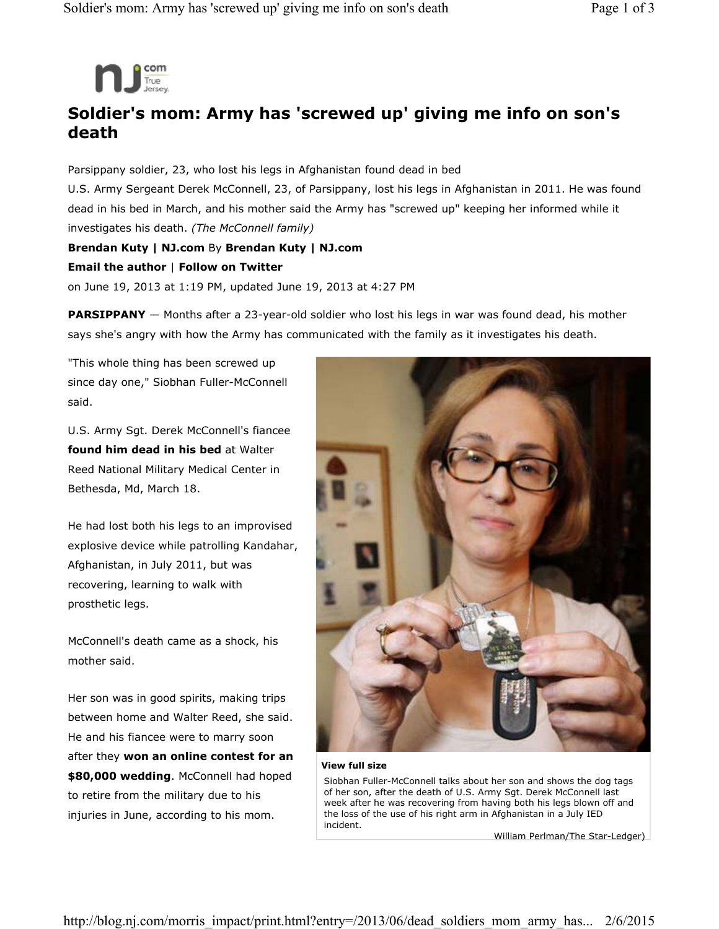

## **Soldier's mom: Army has 'screwed up' giving me info on son's death**

Parsippany soldier, 23, who lost his legs in Afghanistan found dead in bed U.S. Army Sergeant Derek McConnell, 23, of Parsippany, lost his legs in Afghanistan in 2011. He was found dead in his bed in March, and his mother said the Army has "screwed up" keeping her informed while it investigates his death. *(The McConnell family)* **Brendan Kuty | NJ.com** By **Brendan Kuty | NJ.com** 

## **Email the author** | **Follow on Twitter**

on June 19, 2013 at 1:19 PM, updated June 19, 2013 at 4:27 PM

**PARSIPPANY** — Months after a 23-year-old soldier who lost his legs in war was found dead, his mother says she's angry with how the Army has communicated with the family as it investigates his death.

"This whole thing has been screwed up since day one," Siobhan Fuller-McConnell said.

U.S. Army Sgt. Derek McConnell's fiancee **found him dead in his bed** at Walter Reed National Military Medical Center in Bethesda, Md, March 18.

He had lost both his legs to an improvised explosive device while patrolling Kandahar, Afghanistan, in July 2011, but was recovering, learning to walk with prosthetic legs.

McConnell's death came as a shock, his mother said.

Her son was in good spirits, making trips between home and Walter Reed, she said. He and his fiancee were to marry soon after they **won an online contest for an \$80,000 wedding**. McConnell had hoped to retire from the military due to his injuries in June, according to his mom.



## **View full size**

Siobhan Fuller-McConnell talks about her son and shows the dog tags of her son, after the death of U.S. Army Sgt. Derek McConnell last week after he was recovering from having both his legs blown off and the loss of the use of his right arm in Afghanistan in a July IED incident.

William Perlman/The Star-Ledger)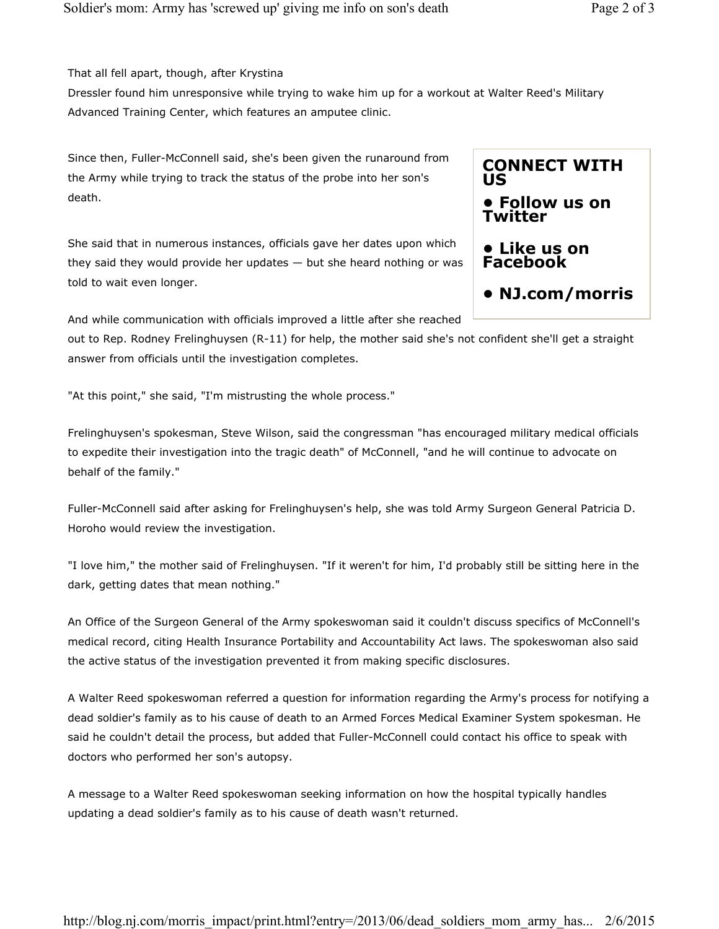That all fell apart, though, after Krystina

Dressler found him unresponsive while trying to wake him up for a workout at Walter Reed's Military Advanced Training Center, which features an amputee clinic.

Since then, Fuller-McConnell said, she's been given the runaround from the Army while trying to track the status of the probe into her son's death.

She said that in numerous instances, officials gave her dates upon which they said they would provide her updates  $-$  but she heard nothing or was told to wait even longer.

And while communication with officials improved a little after she reached

out to Rep. Rodney Frelinghuysen (R-11) for help, the mother said she's not confident she'll get a straight answer from officials until the investigation completes.

"At this point," she said, "I'm mistrusting the whole process."

Frelinghuysen's spokesman, Steve Wilson, said the congressman "has encouraged military medical officials to expedite their investigation into the tragic death" of McConnell, "and he will continue to advocate on behalf of the family."

Fuller-McConnell said after asking for Frelinghuysen's help, she was told Army Surgeon General Patricia D. Horoho would review the investigation.

"I love him," the mother said of Frelinghuysen. "If it weren't for him, I'd probably still be sitting here in the dark, getting dates that mean nothing."

An Office of the Surgeon General of the Army spokeswoman said it couldn't discuss specifics of McConnell's medical record, citing Health Insurance Portability and Accountability Act laws. The spokeswoman also said the active status of the investigation prevented it from making specific disclosures.

A Walter Reed spokeswoman referred a question for information regarding the Army's process for notifying a dead soldier's family as to his cause of death to an Armed Forces Medical Examiner System spokesman. He said he couldn't detail the process, but added that Fuller-McConnell could contact his office to speak with doctors who performed her son's autopsy.

A message to a Walter Reed spokeswoman seeking information on how the hospital typically handles updating a dead soldier's family as to his cause of death wasn't returned.

## **CONNECT WITH US**

- **Follow us on Twitter**
- **Like us on Facebook**
- **NJ.com/morris**